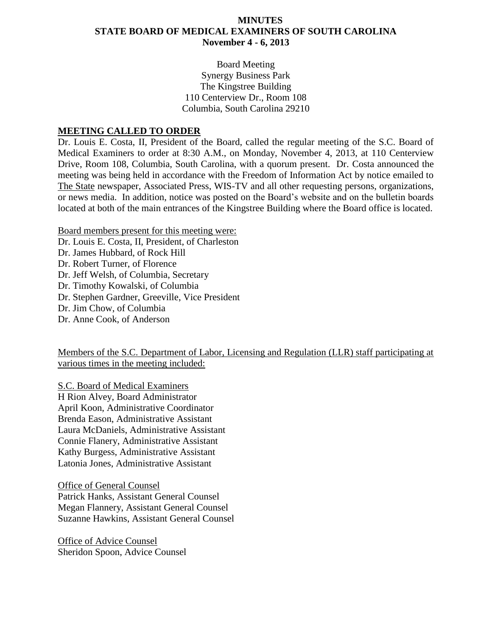## **MINUTES STATE BOARD OF MEDICAL EXAMINERS OF SOUTH CAROLINA November 4 - 6, 2013**

Board Meeting Synergy Business Park The Kingstree Building 110 Centerview Dr., Room 108 Columbia, South Carolina 29210

### **MEETING CALLED TO ORDER**

Dr. Louis E. Costa, II, President of the Board, called the regular meeting of the S.C. Board of Medical Examiners to order at 8:30 A.M., on Monday, November 4, 2013, at 110 Centerview Drive, Room 108, Columbia, South Carolina, with a quorum present. Dr. Costa announced the meeting was being held in accordance with the Freedom of Information Act by notice emailed to The State newspaper, Associated Press, WIS-TV and all other requesting persons, organizations, or news media. In addition, notice was posted on the Board's website and on the bulletin boards located at both of the main entrances of the Kingstree Building where the Board office is located.

Board members present for this meeting were: Dr. Louis E. Costa, II, President, of Charleston Dr. James Hubbard, of Rock Hill Dr. Robert Turner, of Florence Dr. Jeff Welsh, of Columbia, Secretary Dr. Timothy Kowalski, of Columbia Dr. Stephen Gardner, Greeville, Vice President Dr. Jim Chow, of Columbia Dr. Anne Cook, of Anderson

Members of the S.C. Department of Labor, Licensing and Regulation (LLR) staff participating at various times in the meeting included:

S.C. Board of Medical Examiners H Rion Alvey, Board Administrator April Koon, Administrative Coordinator Brenda Eason, Administrative Assistant Laura McDaniels, Administrative Assistant Connie Flanery, Administrative Assistant Kathy Burgess, Administrative Assistant Latonia Jones, Administrative Assistant

Office of General Counsel Patrick Hanks, Assistant General Counsel Megan Flannery, Assistant General Counsel Suzanne Hawkins, Assistant General Counsel

Office of Advice Counsel Sheridon Spoon, Advice Counsel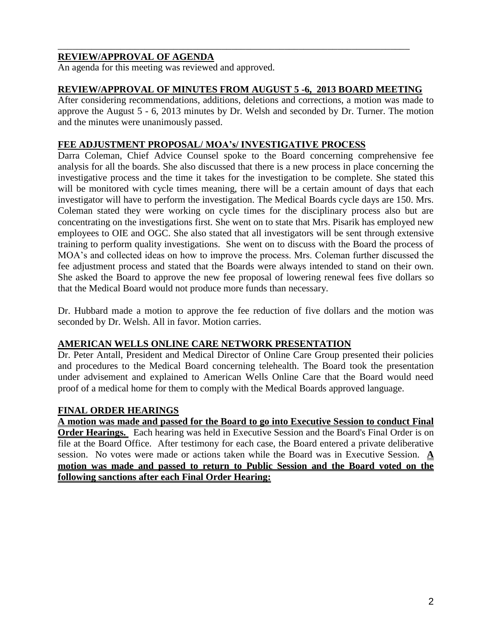# **REVIEW/APPROVAL OF AGENDA**

An agenda for this meeting was reviewed and approved.

### **REVIEW/APPROVAL OF MINUTES FROM AUGUST 5 -6, 2013 BOARD MEETING**

\_\_\_\_\_\_\_\_\_\_\_\_\_\_\_\_\_\_\_\_\_\_\_\_\_\_\_\_\_\_\_\_\_\_\_\_\_\_\_\_\_\_\_\_\_\_\_\_\_\_\_\_\_\_\_\_\_\_\_\_\_\_\_\_\_\_\_\_\_\_\_\_\_

After considering recommendations, additions, deletions and corrections, a motion was made to approve the August 5 - 6, 2013 minutes by Dr. Welsh and seconded by Dr. Turner. The motion and the minutes were unanimously passed.

### **FEE ADJUSTMENT PROPOSAL/ MOA's/ INVESTIGATIVE PROCESS**

Darra Coleman, Chief Advice Counsel spoke to the Board concerning comprehensive fee analysis for all the boards. She also discussed that there is a new process in place concerning the investigative process and the time it takes for the investigation to be complete. She stated this will be monitored with cycle times meaning, there will be a certain amount of days that each investigator will have to perform the investigation. The Medical Boards cycle days are 150. Mrs. Coleman stated they were working on cycle times for the disciplinary process also but are concentrating on the investigations first. She went on to state that Mrs. Pisarik has employed new employees to OIE and OGC. She also stated that all investigators will be sent through extensive training to perform quality investigations. She went on to discuss with the Board the process of MOA's and collected ideas on how to improve the process. Mrs. Coleman further discussed the fee adjustment process and stated that the Boards were always intended to stand on their own. She asked the Board to approve the new fee proposal of lowering renewal fees five dollars so that the Medical Board would not produce more funds than necessary.

Dr. Hubbard made a motion to approve the fee reduction of five dollars and the motion was seconded by Dr. Welsh. All in favor. Motion carries.

#### **AMERICAN WELLS ONLINE CARE NETWORK PRESENTATION**

Dr. Peter Antall, President and Medical Director of Online Care Group presented their policies and procedures to the Medical Board concerning telehealth. The Board took the presentation under advisement and explained to American Wells Online Care that the Board would need proof of a medical home for them to comply with the Medical Boards approved language.

## **FINAL ORDER HEARINGS**

**A motion was made and passed for the Board to go into Executive Session to conduct Final Order Hearings.** Each hearing was held in Executive Session and the Board's Final Order is on file at the Board Office. After testimony for each case, the Board entered a private deliberative session. No votes were made or actions taken while the Board was in Executive Session. **A motion was made and passed to return to Public Session and the Board voted on the following sanctions after each Final Order Hearing:**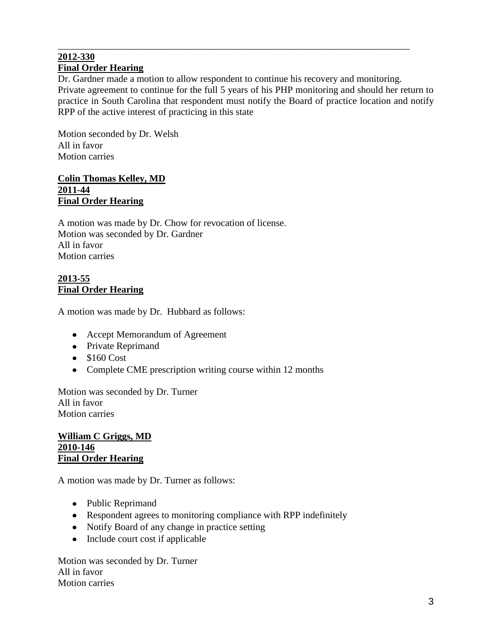#### \_\_\_\_\_\_\_\_\_\_\_\_\_\_\_\_\_\_\_\_\_\_\_\_\_\_\_\_\_\_\_\_\_\_\_\_\_\_\_\_\_\_\_\_\_\_\_\_\_\_\_\_\_\_\_\_\_\_\_\_\_\_\_\_\_\_\_\_\_\_\_\_\_ **2012-330 Final Order Hearing**

Dr. Gardner made a motion to allow respondent to continue his recovery and monitoring. Private agreement to continue for the full 5 years of his PHP monitoring and should her return to practice in South Carolina that respondent must notify the Board of practice location and notify RPP of the active interest of practicing in this state

Motion seconded by Dr. Welsh All in favor Motion carries

## **Colin Thomas Kelley, MD 2011-44 Final Order Hearing**

A motion was made by Dr. Chow for revocation of license. Motion was seconded by Dr. Gardner All in favor Motion carries

## **2013-55 Final Order Hearing**

A motion was made by Dr. Hubbard as follows:

- Accept Memorandum of Agreement
- Private Reprimand
- $\bullet$  \$160 Cost
- Complete CME prescription writing course within 12 months

Motion was seconded by Dr. Turner All in favor Motion carries

#### **William C Griggs, MD 2010-146 Final Order Hearing**

A motion was made by Dr. Turner as follows:

- Public Reprimand
- Respondent agrees to monitoring compliance with RPP indefinitely
- Notify Board of any change in practice setting
- Include court cost if applicable

Motion was seconded by Dr. Turner All in favor Motion carries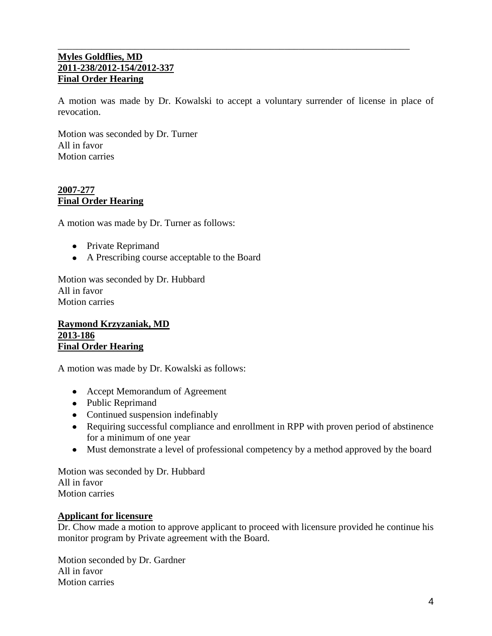### \_\_\_\_\_\_\_\_\_\_\_\_\_\_\_\_\_\_\_\_\_\_\_\_\_\_\_\_\_\_\_\_\_\_\_\_\_\_\_\_\_\_\_\_\_\_\_\_\_\_\_\_\_\_\_\_\_\_\_\_\_\_\_\_\_\_\_\_\_\_\_\_\_ **Myles Goldflies, MD 2011-238/2012-154/2012-337 Final Order Hearing**

A motion was made by Dr. Kowalski to accept a voluntary surrender of license in place of revocation.

Motion was seconded by Dr. Turner All in favor Motion carries

## **2007-277 Final Order Hearing**

A motion was made by Dr. Turner as follows:

- Private Reprimand
- A Prescribing course acceptable to the Board

Motion was seconded by Dr. Hubbard All in favor Motion carries

#### **Raymond Krzyzaniak, MD 2013-186 Final Order Hearing**

A motion was made by Dr. Kowalski as follows:

- Accept Memorandum of Agreement
- Public Reprimand
- Continued suspension indefinably
- Requiring successful compliance and enrollment in RPP with proven period of abstinence for a minimum of one year
- Must demonstrate a level of professional competency by a method approved by the board

Motion was seconded by Dr. Hubbard All in favor Motion carries

## **Applicant for licensure**

Dr. Chow made a motion to approve applicant to proceed with licensure provided he continue his monitor program by Private agreement with the Board.

Motion seconded by Dr. Gardner All in favor Motion carries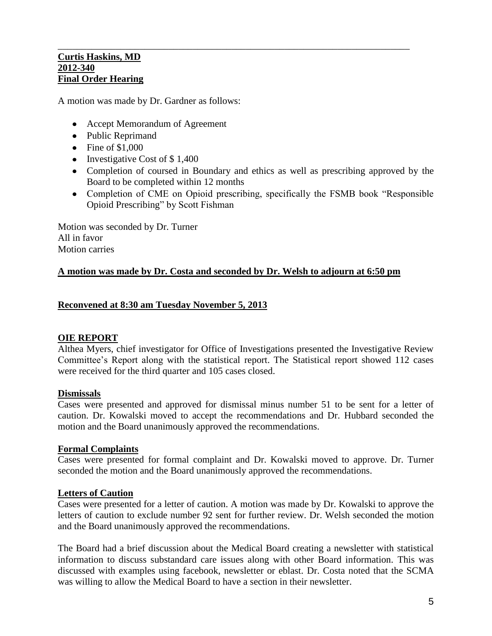#### **Curtis Haskins, MD 2012-340 Final Order Hearing**

A motion was made by Dr. Gardner as follows:

- Accept Memorandum of Agreement
- Public Reprimand
- $\bullet$  Fine of \$1,000
- Investigative Cost of  $$1,400$
- Completion of coursed in Boundary and ethics as well as prescribing approved by the Board to be completed within 12 months

\_\_\_\_\_\_\_\_\_\_\_\_\_\_\_\_\_\_\_\_\_\_\_\_\_\_\_\_\_\_\_\_\_\_\_\_\_\_\_\_\_\_\_\_\_\_\_\_\_\_\_\_\_\_\_\_\_\_\_\_\_\_\_\_\_\_\_\_\_\_\_\_\_

• Completion of CME on Opioid prescribing, specifically the FSMB book "Responsible" Opioid Prescribing" by Scott Fishman

Motion was seconded by Dr. Turner All in favor Motion carries

## **A motion was made by Dr. Costa and seconded by Dr. Welsh to adjourn at 6:50 pm**

### **Reconvened at 8:30 am Tuesday November 5, 2013**

#### **OIE REPORT**

Althea Myers, chief investigator for Office of Investigations presented the Investigative Review Committee's Report along with the statistical report. The Statistical report showed 112 cases were received for the third quarter and 105 cases closed.

#### **Dismissals**

Cases were presented and approved for dismissal minus number 51 to be sent for a letter of caution. Dr. Kowalski moved to accept the recommendations and Dr. Hubbard seconded the motion and the Board unanimously approved the recommendations.

#### **Formal Complaints**

Cases were presented for formal complaint and Dr. Kowalski moved to approve. Dr. Turner seconded the motion and the Board unanimously approved the recommendations.

#### **Letters of Caution**

Cases were presented for a letter of caution. A motion was made by Dr. Kowalski to approve the letters of caution to exclude number 92 sent for further review. Dr. Welsh seconded the motion and the Board unanimously approved the recommendations.

The Board had a brief discussion about the Medical Board creating a newsletter with statistical information to discuss substandard care issues along with other Board information. This was discussed with examples using facebook, newsletter or eblast. Dr. Costa noted that the SCMA was willing to allow the Medical Board to have a section in their newsletter.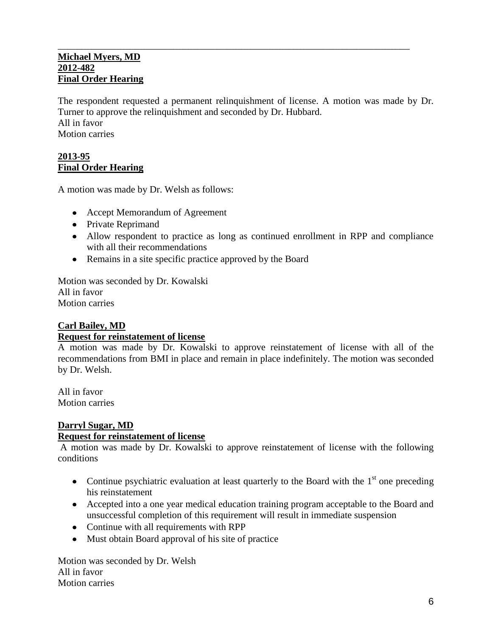#### \_\_\_\_\_\_\_\_\_\_\_\_\_\_\_\_\_\_\_\_\_\_\_\_\_\_\_\_\_\_\_\_\_\_\_\_\_\_\_\_\_\_\_\_\_\_\_\_\_\_\_\_\_\_\_\_\_\_\_\_\_\_\_\_\_\_\_\_\_\_\_\_\_ **Michael Myers, MD 2012-482 Final Order Hearing**

The respondent requested a permanent relinquishment of license. A motion was made by Dr. Turner to approve the relinquishment and seconded by Dr. Hubbard. All in favor Motion carries

## **2013-95 Final Order Hearing**

A motion was made by Dr. Welsh as follows:

- Accept Memorandum of Agreement
- Private Reprimand
- Allow respondent to practice as long as continued enrollment in RPP and compliance with all their recommendations
- Remains in a site specific practice approved by the Board

Motion was seconded by Dr. Kowalski All in favor Motion carries

## **Carl Bailey, MD**

#### **Request for reinstatement of license**

A motion was made by Dr. Kowalski to approve reinstatement of license with all of the recommendations from BMI in place and remain in place indefinitely. The motion was seconded by Dr. Welsh.

All in favor Motion carries

## **Darryl Sugar, MD**

#### **Request for reinstatement of license**

A motion was made by Dr. Kowalski to approve reinstatement of license with the following conditions

- Continue psychiatric evaluation at least quarterly to the Board with the  $1<sup>st</sup>$  one preceding his reinstatement
- Accepted into a one year medical education training program acceptable to the Board and unsuccessful completion of this requirement will result in immediate suspension
- Continue with all requirements with RPP
- Must obtain Board approval of his site of practice

Motion was seconded by Dr. Welsh All in favor Motion carries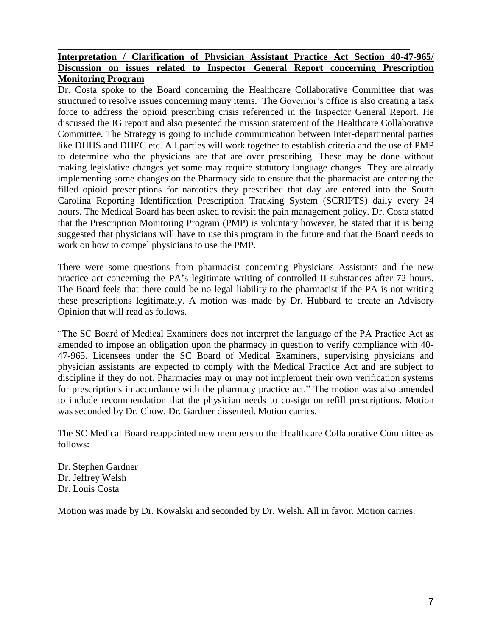## **Interpretation / Clarification of Physician Assistant Practice Act Section 40-47-965/ Discussion on issues related to Inspector General Report concerning Prescription Monitoring Program**

\_\_\_\_\_\_\_\_\_\_\_\_\_\_\_\_\_\_\_\_\_\_\_\_\_\_\_\_\_\_\_\_\_\_\_\_\_\_\_\_\_\_\_\_\_\_\_\_\_\_\_\_\_\_\_\_\_\_\_\_\_\_\_\_\_\_\_\_\_\_\_\_\_

Dr. Costa spoke to the Board concerning the Healthcare Collaborative Committee that was structured to resolve issues concerning many items. The Governor's office is also creating a task force to address the opioid prescribing crisis referenced in the Inspector General Report. He discussed the IG report and also presented the mission statement of the Healthcare Collaborative Committee. The Strategy is going to include communication between Inter-departmental parties like DHHS and DHEC etc. All parties will work together to establish criteria and the use of PMP to determine who the physicians are that are over prescribing. These may be done without making legislative changes yet some may require statutory language changes. They are already implementing some changes on the Pharmacy side to ensure that the pharmacist are entering the filled opioid prescriptions for narcotics they prescribed that day are entered into the South Carolina Reporting Identification Prescription Tracking System (SCRIPTS) daily every 24 hours. The Medical Board has been asked to revisit the pain management policy. Dr. Costa stated that the Prescription Monitoring Program (PMP) is voluntary however, he stated that it is being suggested that physicians will have to use this program in the future and that the Board needs to work on how to compel physicians to use the PMP.

There were some questions from pharmacist concerning Physicians Assistants and the new practice act concerning the PA's legitimate writing of controlled II substances after 72 hours. The Board feels that there could be no legal liability to the pharmacist if the PA is not writing these prescriptions legitimately. A motion was made by Dr. Hubbard to create an Advisory Opinion that will read as follows.

"The SC Board of Medical Examiners does not interpret the language of the PA Practice Act as amended to impose an obligation upon the pharmacy in question to verify compliance with 40- 47-965. Licensees under the SC Board of Medical Examiners, supervising physicians and physician assistants are expected to comply with the Medical Practice Act and are subject to discipline if they do not. Pharmacies may or may not implement their own verification systems for prescriptions in accordance with the pharmacy practice act." The motion was also amended to include recommendation that the physician needs to co-sign on refill prescriptions. Motion was seconded by Dr. Chow. Dr. Gardner dissented. Motion carries.

The SC Medical Board reappointed new members to the Healthcare Collaborative Committee as follows:

Dr. Stephen Gardner Dr. Jeffrey Welsh Dr. Louis Costa

Motion was made by Dr. Kowalski and seconded by Dr. Welsh. All in favor. Motion carries.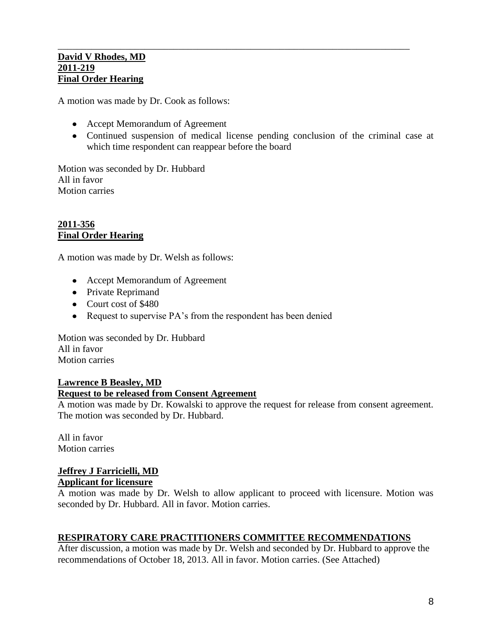### **David V Rhodes, MD 2011-219 Final Order Hearing**

A motion was made by Dr. Cook as follows:

- Accept Memorandum of Agreement
- Continued suspension of medical license pending conclusion of the criminal case at which time respondent can reappear before the board

\_\_\_\_\_\_\_\_\_\_\_\_\_\_\_\_\_\_\_\_\_\_\_\_\_\_\_\_\_\_\_\_\_\_\_\_\_\_\_\_\_\_\_\_\_\_\_\_\_\_\_\_\_\_\_\_\_\_\_\_\_\_\_\_\_\_\_\_\_\_\_\_\_

Motion was seconded by Dr. Hubbard All in favor Motion carries

#### **2011-356 Final Order Hearing**

A motion was made by Dr. Welsh as follows:

- Accept Memorandum of Agreement
- Private Reprimand
- Court cost of \$480
- Request to supervise PA's from the respondent has been denied

Motion was seconded by Dr. Hubbard All in favor Motion carries

## **Lawrence B Beasley, MD Request to be released from Consent Agreement**

A motion was made by Dr. Kowalski to approve the request for release from consent agreement. The motion was seconded by Dr. Hubbard.

All in favor Motion carries

# **Jeffrey J Farricielli, MD**

## **Applicant for licensure**

A motion was made by Dr. Welsh to allow applicant to proceed with licensure. Motion was seconded by Dr. Hubbard. All in favor. Motion carries.

## **RESPIRATORY CARE PRACTITIONERS COMMITTEE RECOMMENDATIONS**

After discussion, a motion was made by Dr. Welsh and seconded by Dr. Hubbard to approve the recommendations of October 18, 2013. All in favor. Motion carries. (See Attached)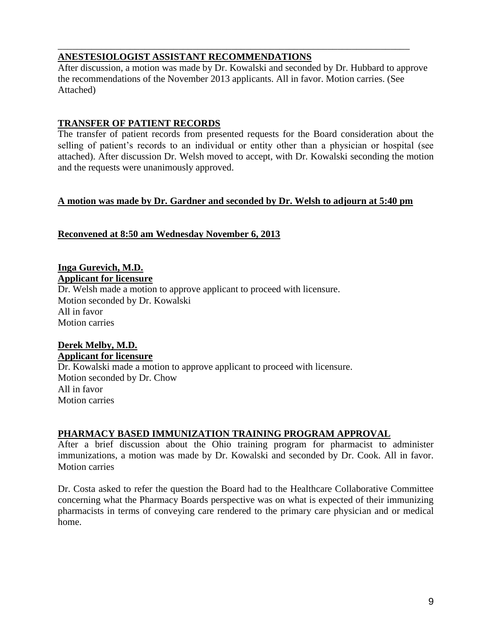## **ANESTESIOLOGIST ASSISTANT RECOMMENDATIONS**

After discussion, a motion was made by Dr. Kowalski and seconded by Dr. Hubbard to approve the recommendations of the November 2013 applicants. All in favor. Motion carries. (See Attached)

\_\_\_\_\_\_\_\_\_\_\_\_\_\_\_\_\_\_\_\_\_\_\_\_\_\_\_\_\_\_\_\_\_\_\_\_\_\_\_\_\_\_\_\_\_\_\_\_\_\_\_\_\_\_\_\_\_\_\_\_\_\_\_\_\_\_\_\_\_\_\_\_\_

## **TRANSFER OF PATIENT RECORDS**

The transfer of patient records from presented requests for the Board consideration about the selling of patient's records to an individual or entity other than a physician or hospital (see attached). After discussion Dr. Welsh moved to accept, with Dr. Kowalski seconding the motion and the requests were unanimously approved.

# **A motion was made by Dr. Gardner and seconded by Dr. Welsh to adjourn at 5:40 pm**

# **Reconvened at 8:50 am Wednesday November 6, 2013**

**Inga Gurevich, M.D. Applicant for licensure**

Dr. Welsh made a motion to approve applicant to proceed with licensure. Motion seconded by Dr. Kowalski All in favor Motion carries

# **Derek Melby, M.D.**

**Applicant for licensure** Dr. Kowalski made a motion to approve applicant to proceed with licensure. Motion seconded by Dr. Chow All in favor Motion carries

# **PHARMACY BASED IMMUNIZATION TRAINING PROGRAM APPROVAL**

After a brief discussion about the Ohio training program for pharmacist to administer immunizations, a motion was made by Dr. Kowalski and seconded by Dr. Cook. All in favor. Motion carries

Dr. Costa asked to refer the question the Board had to the Healthcare Collaborative Committee concerning what the Pharmacy Boards perspective was on what is expected of their immunizing pharmacists in terms of conveying care rendered to the primary care physician and or medical home.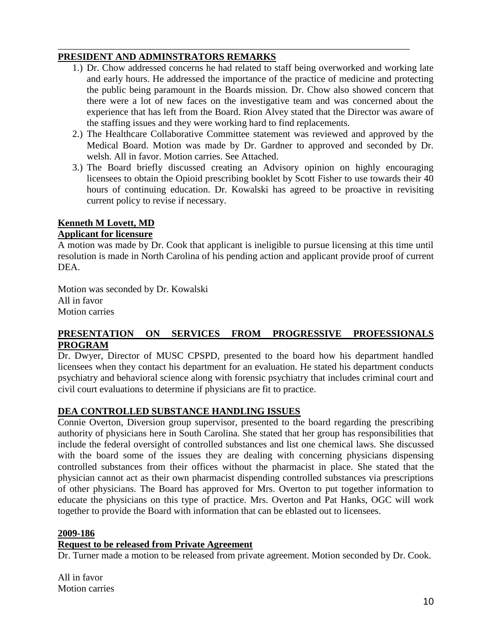# **PRESIDENT AND ADMINSTRATORS REMARKS**

1.) Dr. Chow addressed concerns he had related to staff being overworked and working late and early hours. He addressed the importance of the practice of medicine and protecting the public being paramount in the Boards mission. Dr. Chow also showed concern that there were a lot of new faces on the investigative team and was concerned about the experience that has left from the Board. Rion Alvey stated that the Director was aware of the staffing issues and they were working hard to find replacements.

\_\_\_\_\_\_\_\_\_\_\_\_\_\_\_\_\_\_\_\_\_\_\_\_\_\_\_\_\_\_\_\_\_\_\_\_\_\_\_\_\_\_\_\_\_\_\_\_\_\_\_\_\_\_\_\_\_\_\_\_\_\_\_\_\_\_\_\_\_\_\_\_\_

- 2.) The Healthcare Collaborative Committee statement was reviewed and approved by the Medical Board. Motion was made by Dr. Gardner to approved and seconded by Dr. welsh. All in favor. Motion carries. See Attached.
- 3.) The Board briefly discussed creating an Advisory opinion on highly encouraging licensees to obtain the Opioid prescribing booklet by Scott Fisher to use towards their 40 hours of continuing education. Dr. Kowalski has agreed to be proactive in revisiting current policy to revise if necessary.

# **Kenneth M Lovett, MD**

## **Applicant for licensure**

A motion was made by Dr. Cook that applicant is ineligible to pursue licensing at this time until resolution is made in North Carolina of his pending action and applicant provide proof of current DEA.

Motion was seconded by Dr. Kowalski All in favor Motion carries

# **PRESENTATION ON SERVICES FROM PROGRESSIVE PROFESSIONALS PROGRAM**

Dr. Dwyer, Director of MUSC CPSPD, presented to the board how his department handled licensees when they contact his department for an evaluation. He stated his department conducts psychiatry and behavioral science along with forensic psychiatry that includes criminal court and civil court evaluations to determine if physicians are fit to practice.

# **DEA CONTROLLED SUBSTANCE HANDLING ISSUES**

Connie Overton, Diversion group supervisor, presented to the board regarding the prescribing authority of physicians here in South Carolina. She stated that her group has responsibilities that include the federal oversight of controlled substances and list one chemical laws. She discussed with the board some of the issues they are dealing with concerning physicians dispensing controlled substances from their offices without the pharmacist in place. She stated that the physician cannot act as their own pharmacist dispending controlled substances via prescriptions of other physicians. The Board has approved for Mrs. Overton to put together information to educate the physicians on this type of practice. Mrs. Overton and Pat Hanks, OGC will work together to provide the Board with information that can be eblasted out to licensees.

## **2009-186**

## **Request to be released from Private Agreement**

Dr. Turner made a motion to be released from private agreement. Motion seconded by Dr. Cook.

All in favor Motion carries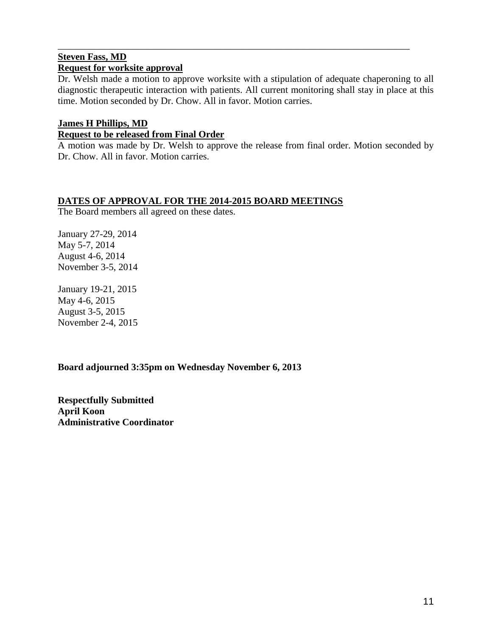## **Steven Fass, MD Request for worksite approval**

Dr. Welsh made a motion to approve worksite with a stipulation of adequate chaperoning to all diagnostic therapeutic interaction with patients. All current monitoring shall stay in place at this time. Motion seconded by Dr. Chow. All in favor. Motion carries.

\_\_\_\_\_\_\_\_\_\_\_\_\_\_\_\_\_\_\_\_\_\_\_\_\_\_\_\_\_\_\_\_\_\_\_\_\_\_\_\_\_\_\_\_\_\_\_\_\_\_\_\_\_\_\_\_\_\_\_\_\_\_\_\_\_\_\_\_\_\_\_\_\_

# **James H Phillips, MD**

### **Request to be released from Final Order**

A motion was made by Dr. Welsh to approve the release from final order. Motion seconded by Dr. Chow. All in favor. Motion carries.

## **DATES OF APPROVAL FOR THE 2014-2015 BOARD MEETINGS**

The Board members all agreed on these dates.

January 27-29, 2014 May 5-7, 2014 August 4-6, 2014 November 3-5, 2014

January 19-21, 2015 May 4-6, 2015 August 3-5, 2015 November 2-4, 2015

# **Board adjourned 3:35pm on Wednesday November 6, 2013**

**Respectfully Submitted April Koon Administrative Coordinator**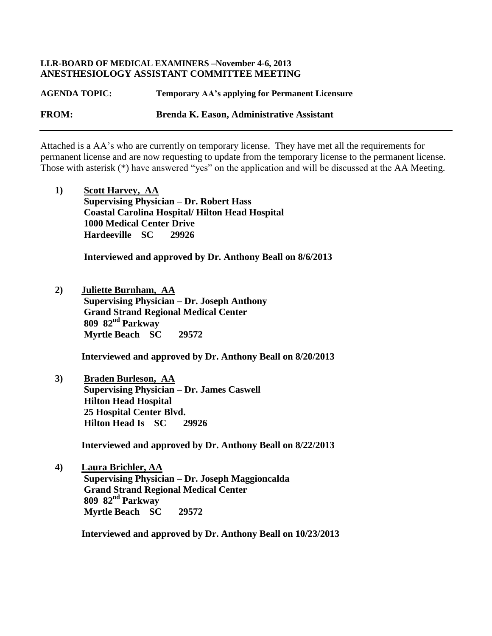#### **LLR-BOARD OF MEDICAL EXAMINERS –November 4-6, 2013 ANESTHESIOLOGY ASSISTANT COMMITTEE MEETING**

**AGENDA TOPIC: Temporary AA's applying for Permanent Licensure FROM: Brenda K. Eason, Administrative Assistant**

Attached is a AA's who are currently on temporary license. They have met all the requirements for permanent license and are now requesting to update from the temporary license to the permanent license. Those with asterisk (\*) have answered "yes" on the application and will be discussed at the AA Meeting.

**1) Scott Harvey, AA Supervising Physician – Dr. Robert Hass Coastal Carolina Hospital/ Hilton Head Hospital 1000 Medical Center Drive Hardeeville SC 29926**

 **Interviewed and approved by Dr. Anthony Beall on 8/6/2013**

**2) Juliette Burnham, AA Supervising Physician – Dr. Joseph Anthony Grand Strand Regional Medical Center 809 82nd Parkway Myrtle Beach SC 29572**

 **Interviewed and approved by Dr. Anthony Beall on 8/20/2013**

**3) Braden Burleson, AA Supervising Physician – Dr. James Caswell Hilton Head Hospital 25 Hospital Center Blvd. Hilton Head Is SC 29926**

 **Interviewed and approved by Dr. Anthony Beall on 8/22/2013**

**4) Laura Brichler, AA Supervising Physician – Dr. Joseph Maggioncalda Grand Strand Regional Medical Center 809 82nd Parkway Myrtle Beach SC 29572**

 **Interviewed and approved by Dr. Anthony Beall on 10/23/2013**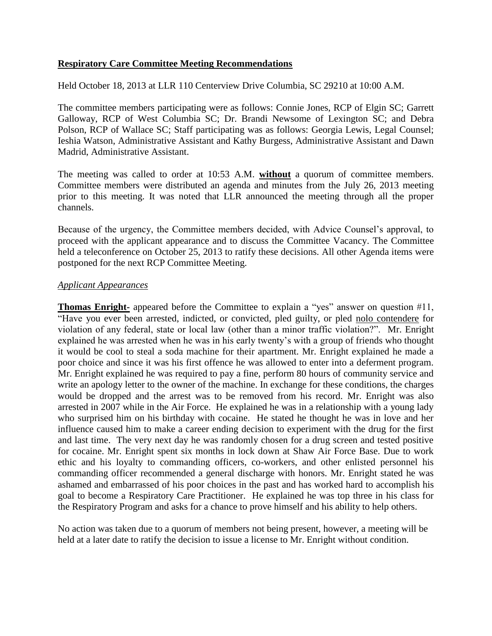#### **Respiratory Care Committee Meeting Recommendations**

Held October 18, 2013 at LLR 110 Centerview Drive Columbia, SC 29210 at 10:00 A.M.

The committee members participating were as follows: Connie Jones, RCP of Elgin SC; Garrett Galloway, RCP of West Columbia SC; Dr. Brandi Newsome of Lexington SC; and Debra Polson, RCP of Wallace SC; Staff participating was as follows: Georgia Lewis, Legal Counsel; Ieshia Watson, Administrative Assistant and Kathy Burgess, Administrative Assistant and Dawn Madrid, Administrative Assistant.

The meeting was called to order at 10:53 A.M. **without** a quorum of committee members. Committee members were distributed an agenda and minutes from the July 26, 2013 meeting prior to this meeting. It was noted that LLR announced the meeting through all the proper channels.

Because of the urgency, the Committee members decided, with Advice Counsel's approval, to proceed with the applicant appearance and to discuss the Committee Vacancy. The Committee held a teleconference on October 25, 2013 to ratify these decisions. All other Agenda items were postponed for the next RCP Committee Meeting.

#### *Applicant Appearances*

**Thomas Enright-** appeared before the Committee to explain a "yes" answer on question #11, "Have you ever been arrested, indicted, or convicted, pled guilty, or pled nolo contendere for violation of any federal, state or local law (other than a minor traffic violation?". Mr. Enright explained he was arrested when he was in his early twenty's with a group of friends who thought it would be cool to steal a soda machine for their apartment. Mr. Enright explained he made a poor choice and since it was his first offence he was allowed to enter into a deferment program. Mr. Enright explained he was required to pay a fine, perform 80 hours of community service and write an apology letter to the owner of the machine. In exchange for these conditions, the charges would be dropped and the arrest was to be removed from his record. Mr. Enright was also arrested in 2007 while in the Air Force. He explained he was in a relationship with a young lady who surprised him on his birthday with cocaine. He stated he thought he was in love and her influence caused him to make a career ending decision to experiment with the drug for the first and last time. The very next day he was randomly chosen for a drug screen and tested positive for cocaine. Mr. Enright spent six months in lock down at Shaw Air Force Base. Due to work ethic and his loyalty to commanding officers, co-workers, and other enlisted personnel his commanding officer recommended a general discharge with honors. Mr. Enright stated he was ashamed and embarrassed of his poor choices in the past and has worked hard to accomplish his goal to become a Respiratory Care Practitioner. He explained he was top three in his class for the Respiratory Program and asks for a chance to prove himself and his ability to help others.

No action was taken due to a quorum of members not being present, however, a meeting will be held at a later date to ratify the decision to issue a license to Mr. Enright without condition.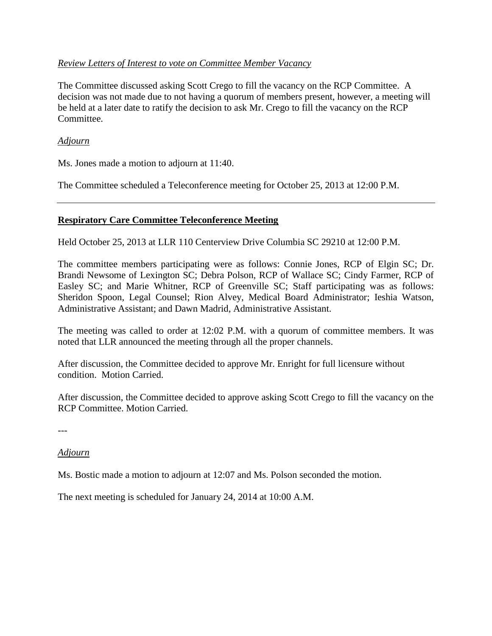### *Review Letters of Interest to vote on Committee Member Vacancy*

The Committee discussed asking Scott Crego to fill the vacancy on the RCP Committee. A decision was not made due to not having a quorum of members present, however, a meeting will be held at a later date to ratify the decision to ask Mr. Crego to fill the vacancy on the RCP Committee.

#### *Adjourn*

Ms. Jones made a motion to adjourn at 11:40.

The Committee scheduled a Teleconference meeting for October 25, 2013 at 12:00 P.M.

### **Respiratory Care Committee Teleconference Meeting**

Held October 25, 2013 at LLR 110 Centerview Drive Columbia SC 29210 at 12:00 P.M.

The committee members participating were as follows: Connie Jones, RCP of Elgin SC; Dr. Brandi Newsome of Lexington SC; Debra Polson, RCP of Wallace SC; Cindy Farmer, RCP of Easley SC; and Marie Whitner, RCP of Greenville SC; Staff participating was as follows: Sheridon Spoon, Legal Counsel; Rion Alvey, Medical Board Administrator; Ieshia Watson, Administrative Assistant; and Dawn Madrid, Administrative Assistant.

The meeting was called to order at 12:02 P.M. with a quorum of committee members. It was noted that LLR announced the meeting through all the proper channels.

After discussion, the Committee decided to approve Mr. Enright for full licensure without condition. Motion Carried.

After discussion, the Committee decided to approve asking Scott Crego to fill the vacancy on the RCP Committee. Motion Carried.

---

## *Adjourn*

Ms. Bostic made a motion to adjourn at 12:07 and Ms. Polson seconded the motion.

The next meeting is scheduled for January 24, 2014 at 10:00 A.M.